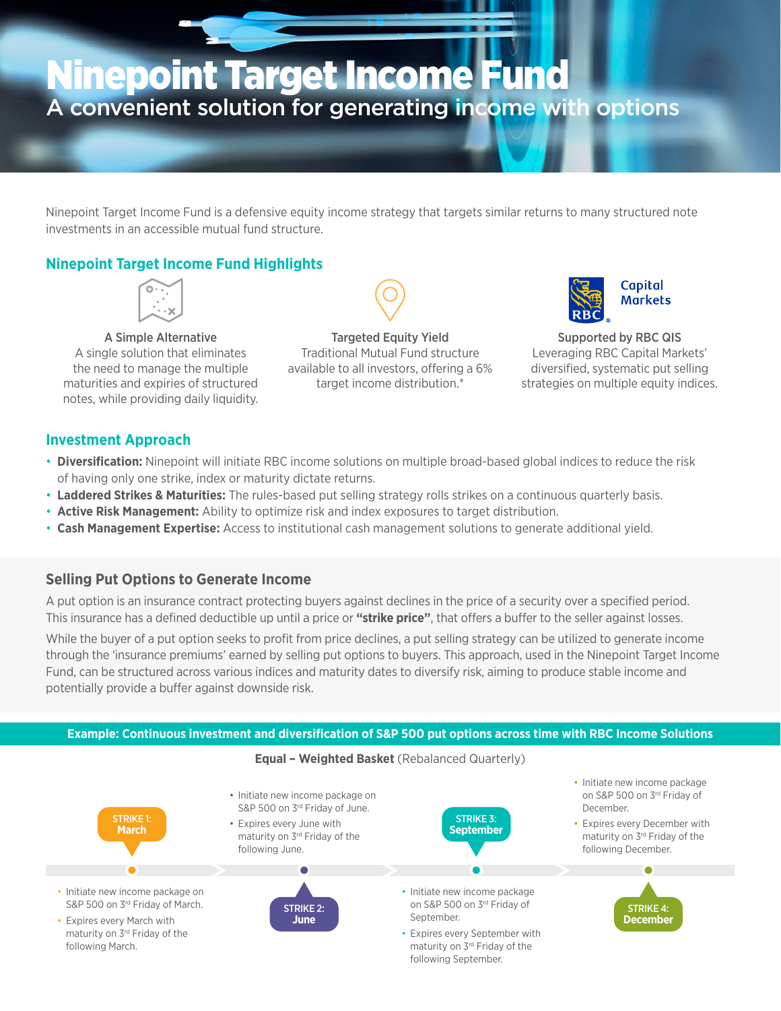# Ninepoint Target Income Fund A convenient solution for generating income with options

Ninepoint Target Income Fund is a defensive equity income strategy that targets similar returns to many structured note investments in an accessible mutual fund structure.

### **Ninepoint Target Income Fund Highlights**



A Simple Alternative A single solution that eliminates the need to manage the multiple maturities and expiries of structured notes, while providing daily liquidity.

Targeted Equity Yield Traditional Mutual Fund structure available to all investors, offering a 6% target income distribution.\*



Supported by RBC QIS Leveraging RBC Capital Markets' diversified, systematic put selling strategies on multiple equity indices.

### **Investment Approach**

- **Diversification:** Ninepoint will initiate RBC income solutions on multiple broad-based global indices to reduce the risk of having only one strike, index or maturity dictate returns.
- **Laddered Strikes & Maturities:** The rules-based put selling strategy rolls strikes on a continuous quarterly basis.
- **Active Risk Management:** Ability to optimize risk and index exposures to target distribution.
- **Cash Management Expertise:** Access to institutional cash management solutions to generate additional yield.

### **Selling Put Options to Generate Income**

A put option is an insurance contract protecting buyers against declines in the price of a security over a specified period. This insurance has a defined deductible up until a price or **"strike price"**, that offers a buffer to the seller against losses.

While the buyer of a put option seeks to profit from price declines, a put selling strategy can be utilized to generate income through the 'insurance premiums' earned by selling put options to buyers. This approach, used in the Ninepoint Target Income Fund, can be structured across various indices and maturity dates to diversify risk, aiming to produce stable income and potentially provide a buffer against downside risk.